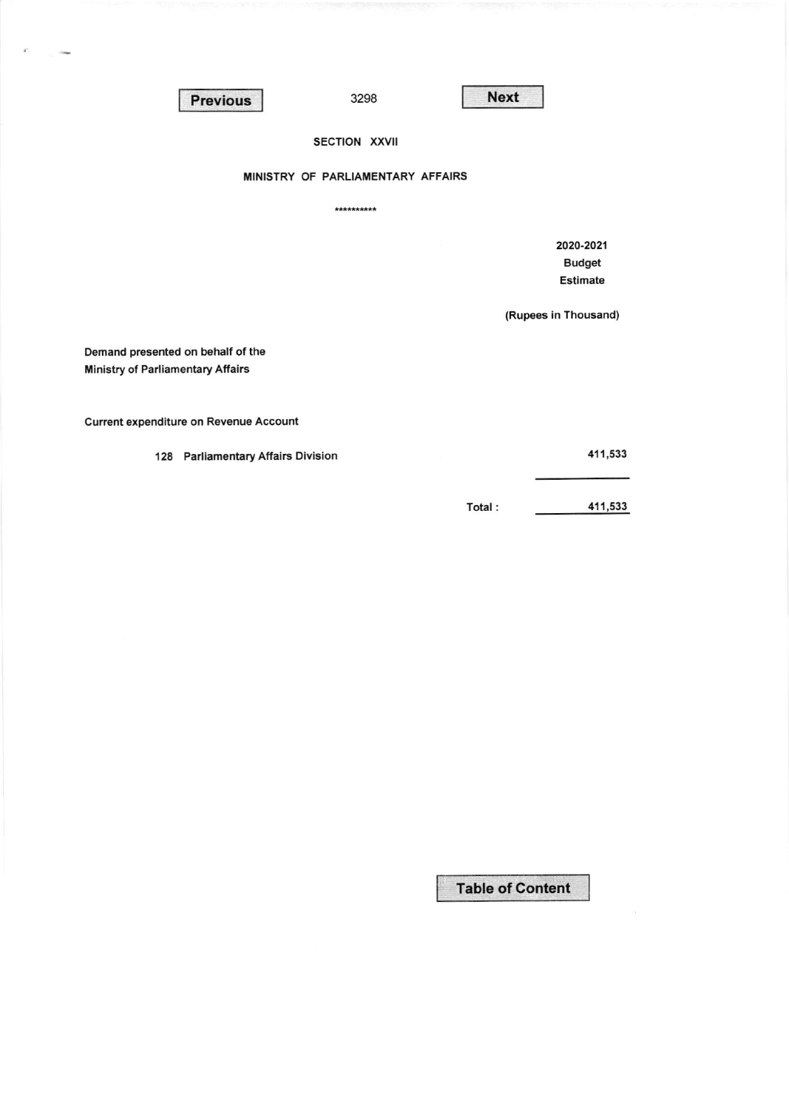Previous 3298 Next

 $\epsilon^{\prime}$ 

3298

## SECTION XXVII

## MINISTRY OF PARLIAMENTARY AFFAIRS

\*\*\*\*\*\*\*\*\*\*

2020.2021 Budget Estimate

(Rupees in Thousand)

Demand presented on behalf of the **Ministry of Parliamentary Affairs** 

**Current expenditure on Revenue Account** 

128 Parliamentary Affairs Division

411,533

Total : 411,533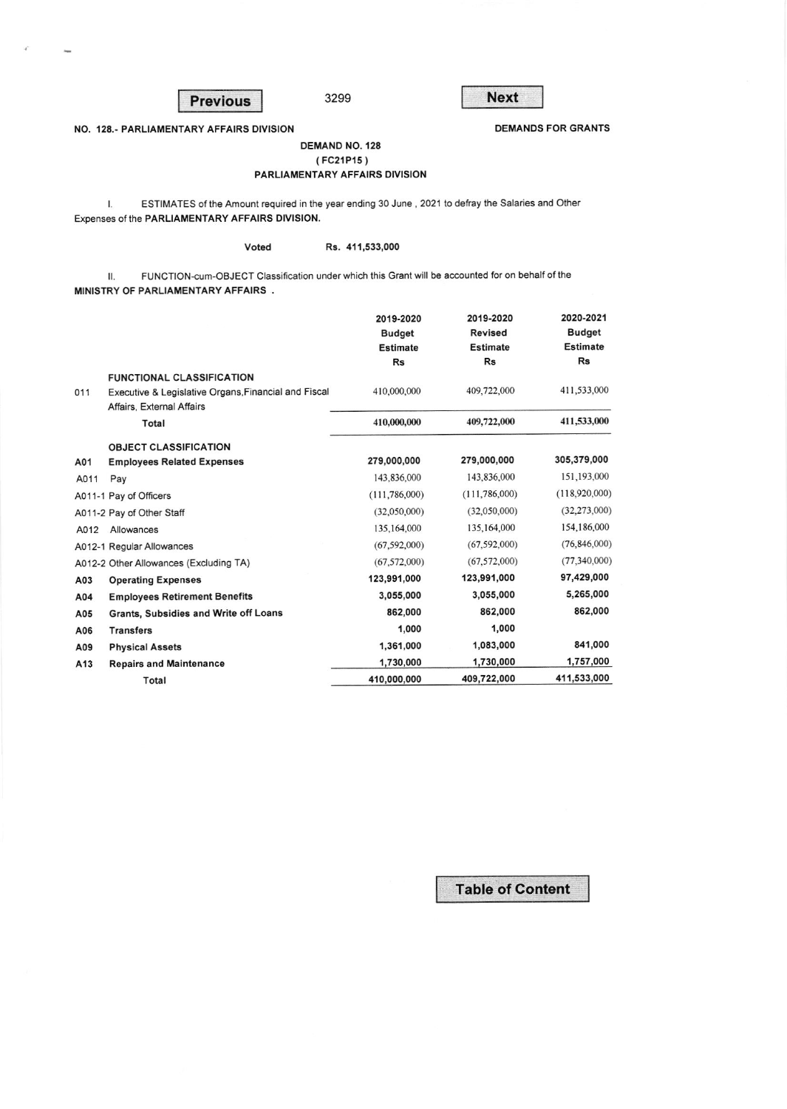**Previous** 

**Next** 

**DEMANDS FOR GRANTS** 

NO. 128.- PARLIAMENTARY AFFAIRS DIVISION

## **DEMAND NO. 128** (FC21P15)

## PARLIAMENTARY AFFAIRS DIVISION

3299

ESTIMATES of the Amount required in the year ending 30 June, 2021 to defray the Salaries and Other  $\mathbf{I}$ . Expenses of the PARLIAMENTARY AFFAIRS DIVISION.

Voted

Rs. 411,533,000

FUNCTION-cum-OBJECT Classification under which this Grant will be accounted for on behalf of the П. MINISTRY OF PARLIAMENTARY AFFAIRS.

|      |                                                      | 2019-2020       | 2019-2020       | 2020-2021       |
|------|------------------------------------------------------|-----------------|-----------------|-----------------|
|      |                                                      | <b>Budget</b>   | <b>Revised</b>  | <b>Budget</b>   |
|      |                                                      | <b>Estimate</b> | <b>Estimate</b> | <b>Estimate</b> |
|      |                                                      | Rs              | Rs              | <b>Rs</b>       |
|      | <b>FUNCTIONAL CLASSIFICATION</b>                     |                 |                 |                 |
| 011  | Executive & Legislative Organs, Financial and Fiscal | 410,000,000     | 409,722,000     | 411,533,000     |
|      | Affairs, External Affairs                            |                 |                 |                 |
|      | Total                                                | 410,000,000     | 409,722,000     | 411,533,000     |
|      | <b>OBJECT CLASSIFICATION</b>                         |                 |                 |                 |
| A01  | <b>Employees Related Expenses</b>                    | 279,000,000     | 279,000,000     | 305,379,000     |
| A011 | Pay                                                  | 143,836,000     | 143,836,000     | 151,193,000     |
|      | A011-1 Pay of Officers                               | (111, 786, 000) | (111, 786, 000) | (118,920,000)   |
|      | A011-2 Pay of Other Staff                            | (32,050,000)    | (32,050,000)    | (32,273,000)    |
| A012 | Allowances                                           | 135,164,000     | 135,164,000     | 154,186,000     |
|      | A012-1 Regular Allowances                            | (67, 592, 000)  | (67, 592, 000)  | (76, 846, 000)  |
|      | A012-2 Other Allowances (Excluding TA)               | (67.572,000)    | (67, 572, 000)  | (77,340,000)    |
| A03  | <b>Operating Expenses</b>                            | 123,991,000     | 123,991,000     | 97,429,000      |
| A04  | <b>Employees Retirement Benefits</b>                 | 3,055,000       | 3,055,000       | 5,265,000       |
| A05  | Grants, Subsidies and Write off Loans                | 862,000         | 862,000         | 862,000         |
| A06  | <b>Transfers</b>                                     | 1,000           | 1,000           |                 |
| A09  | <b>Physical Assets</b>                               | 1,361,000       | 1,083,000       | 841,000         |
| A13  | <b>Repairs and Maintenance</b>                       | 1,730,000       | 1,730,000       | 1,757,000       |
|      | Total                                                | 410,000,000     | 409,722,000     | 411,533,000     |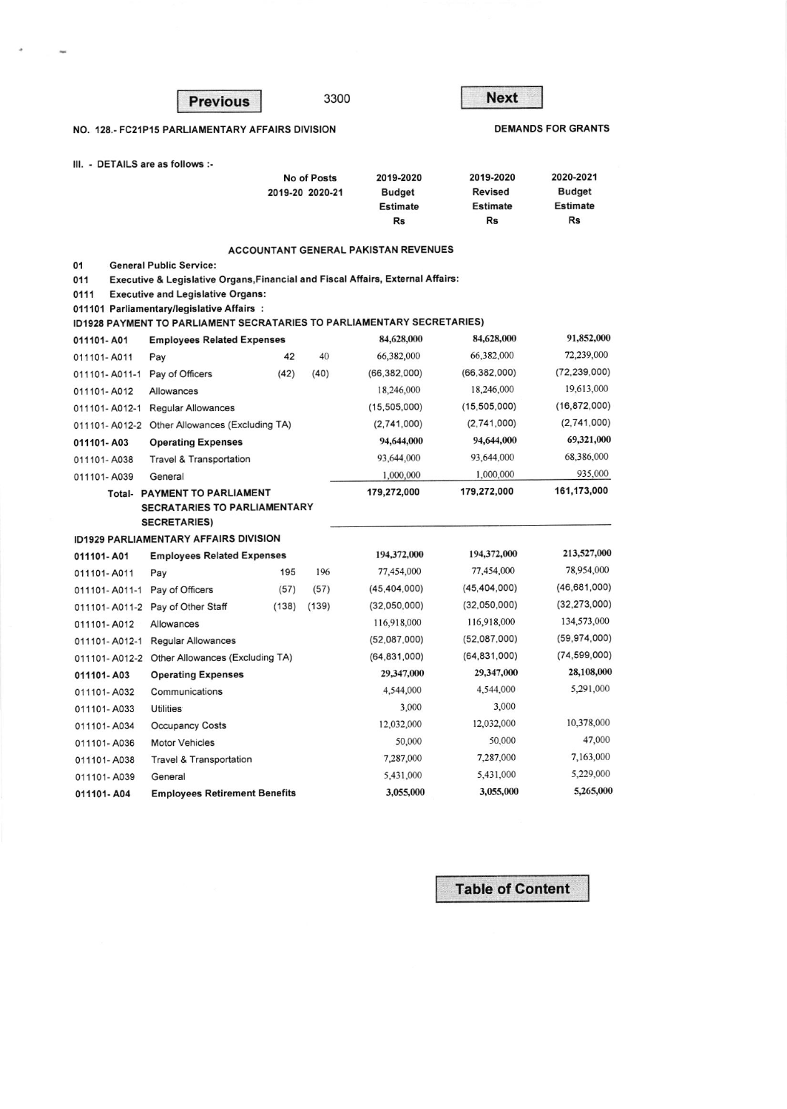|                                                            | <b>Previous</b>                                                                            |       |                                                     | 3300                                                 | <b>Next</b>                                                |                           |  |  |  |
|------------------------------------------------------------|--------------------------------------------------------------------------------------------|-------|-----------------------------------------------------|------------------------------------------------------|------------------------------------------------------------|---------------------------|--|--|--|
|                                                            | NO. 128.- FC21P15 PARLIAMENTARY AFFAIRS DIVISION                                           |       |                                                     |                                                      |                                                            | <b>DEMANDS FOR GRANTS</b> |  |  |  |
| III. - DETAILS are as follows :-                           |                                                                                            |       |                                                     |                                                      |                                                            |                           |  |  |  |
|                                                            | <b>No of Posts</b><br>2019-20 2020-21                                                      |       | 2019-2020<br><b>Budget</b><br><b>Estimate</b><br>Rs | 2019-2020<br><b>Revised</b><br><b>Estimate</b><br>Rs | 2020-2021<br><b>Budget</b><br><b>Estimate</b><br><b>Rs</b> |                           |  |  |  |
|                                                            |                                                                                            |       |                                                     | <b>ACCOUNTANT GENERAL PAKISTAN REVENUES</b>          |                                                            |                           |  |  |  |
| 01                                                         | <b>General Public Service:</b>                                                             |       |                                                     |                                                      |                                                            |                           |  |  |  |
| 011                                                        | <b>Executive &amp; Legislative Organs, Financial and Fiscal Affairs, External Affairs:</b> |       |                                                     |                                                      |                                                            |                           |  |  |  |
| 0111                                                       | <b>Executive and Legislative Organs:</b><br>011101 Parliamentary/legislative Affairs:      |       |                                                     |                                                      |                                                            |                           |  |  |  |
|                                                            | <b>ID1928 PAYMENT TO PARLIAMENT SECRATARIES TO PARLIAMENTARY SECRETARIES)</b>              |       |                                                     |                                                      |                                                            |                           |  |  |  |
| 011101-A01                                                 | <b>Employees Related Expenses</b>                                                          |       |                                                     | 84,628,000                                           | 84,628,000                                                 | 91,852,000                |  |  |  |
| 011101-A011                                                | Pay                                                                                        | 42    | 40                                                  | 66,382,000                                           | 66,382,000                                                 | 72,239,000                |  |  |  |
| 011101-A011-1                                              | Pay of Officers                                                                            | (42)  | (40)                                                | (66, 382, 000)                                       | (66,382,000)                                               | (72, 239, 000)            |  |  |  |
| 011101-A012                                                | Allowances                                                                                 |       |                                                     | 18,246,000                                           | 18,246,000                                                 | 19,613,000                |  |  |  |
| 011101-A012-1                                              | <b>Regular Allowances</b>                                                                  |       |                                                     | (15, 505, 000)                                       | (15, 505, 000)                                             | (16, 872, 000)            |  |  |  |
| 011101-A012-2                                              | Other Allowances (Excluding TA)                                                            |       |                                                     | (2,741,000)                                          | (2,741,000)                                                | (2,741,000)               |  |  |  |
| 011101-A03                                                 | <b>Operating Expenses</b>                                                                  |       |                                                     | 94,644,000                                           | 94,644,000                                                 | 69,321,000                |  |  |  |
| 011101-A038                                                | <b>Travel &amp; Transportation</b>                                                         |       |                                                     | 93,644,000                                           | 93,644,000                                                 | 68,386,000                |  |  |  |
| 011101-A039                                                | General                                                                                    |       |                                                     | 1,000,000                                            | 1,000,000                                                  | 935,000                   |  |  |  |
| Total-                                                     | PAYMENT TO PARLIAMENT                                                                      |       |                                                     | 179,272,000                                          | 179,272,000                                                | 161,173,000               |  |  |  |
| <b>SECRATARIES TO PARLIAMENTARY</b><br><b>SECRETARIES)</b> |                                                                                            |       |                                                     |                                                      |                                                            |                           |  |  |  |
|                                                            | ID1929 PARLIAMENTARY AFFAIRS DIVISION                                                      |       |                                                     |                                                      |                                                            |                           |  |  |  |
| 011101-A01                                                 | <b>Employees Related Expenses</b>                                                          |       |                                                     | 194,372,000                                          | 194,372,000                                                | 213,527,000               |  |  |  |
| 011101-A011                                                | Pay                                                                                        | 195   | 196                                                 | 77,454,000                                           | 77,454,000                                                 | 78,954,000                |  |  |  |
| 011101-A011-1                                              | Pay of Officers                                                                            | (57)  | (57)                                                | (45, 404, 000)                                       | (45, 404, 000)                                             | (46, 681, 000)            |  |  |  |
|                                                            | 011101-A011-2 Pay of Other Staff                                                           | (138) | (139)                                               | (32,050,000)                                         | (32,050,000)                                               | (32, 273, 000)            |  |  |  |
| 011101-A012                                                | Allowances                                                                                 |       |                                                     | 116,918,000                                          | 116,918,000                                                | 134,573,000               |  |  |  |
| 011101-A012-1                                              | <b>Regular Allowances</b>                                                                  |       |                                                     | (52,087,000)                                         | (52,087,000)                                               | (59, 974, 000)            |  |  |  |
| 011101-A012-2 Other Allowances (Excluding TA)              |                                                                                            |       |                                                     | (64, 831, 000)                                       | (64,831,000)                                               | (74, 599, 000)            |  |  |  |
| 011101-A03<br><b>Operating Expenses</b>                    |                                                                                            |       |                                                     | 29,347,000                                           | 29,347,000                                                 | 28,108,000                |  |  |  |
| 011101-A032                                                | Communications                                                                             |       |                                                     | 4,544,000                                            | 4,544,000                                                  | 5,291,000                 |  |  |  |
| 011101-A033                                                | <b>Utilities</b>                                                                           |       |                                                     | 3,000                                                | 3,000                                                      |                           |  |  |  |
| 011101-A034                                                | <b>Occupancy Costs</b>                                                                     |       |                                                     | 12,032,000                                           | 12,032,000                                                 | 10,378,000                |  |  |  |
| 011101-A036                                                | <b>Motor Vehicles</b>                                                                      |       |                                                     | 50,000                                               | 50,000                                                     | 47,000                    |  |  |  |
| 011101-A038                                                | <b>Travel &amp; Transportation</b>                                                         |       |                                                     | 7,287,000                                            | 7,287,000                                                  | 7,163,000                 |  |  |  |
| 011101-A039                                                | General                                                                                    |       |                                                     | 5,431,000                                            | 5,431,000                                                  | 5,229,000                 |  |  |  |
| 011101-A04                                                 | <b>Employees Retirement Benefits</b>                                                       |       |                                                     | 3,055,000                                            | 3,055,000                                                  | 5,265,000                 |  |  |  |

 $\;$ 

 $\overline{\phantom{a}}$